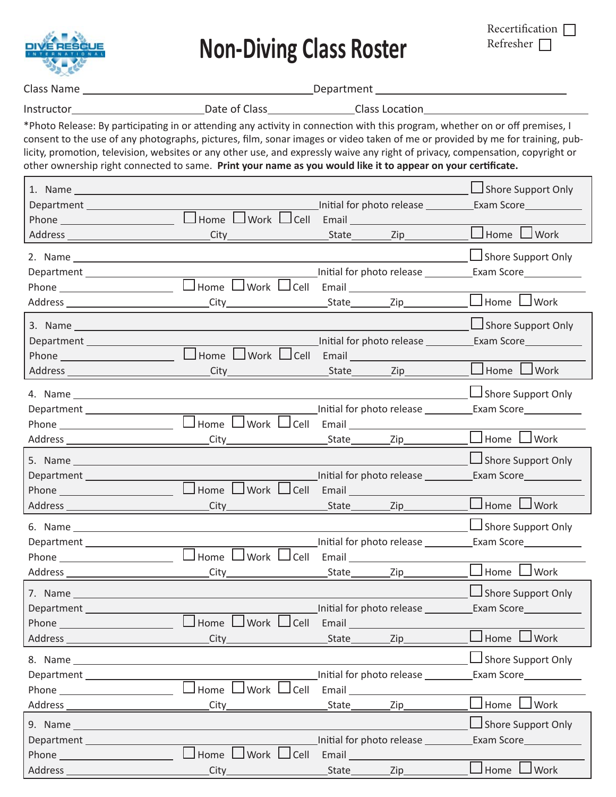

**Non-Diving Class Roster**

| Recertification [ |  |
|-------------------|--|
| Refresher $\Box$  |  |

Class Name Department

 $\overline{\phantom{0}}$ 

| Instructor | Date of Class | Class Location |
|------------|---------------|----------------|
|            |               |                |

\*Photo Release: By participating in or attending any activity in connection with this program, whether on or off premises, I consent to the use of any photographs, pictures, film, sonar images or video taken of me or provided by me for training, publicity, promotion, television, websites or any other use, and expressly waive any right of privacy, compensation, copyright or other ownership right connected to same. Print your name as you would like it to appear on your certificate.

|                                                     |                                                 | Initial for photo release _________                                                                                                                                                                                                                                                                  | Shore Support Only<br>Exam Score <u>______________</u>                                                                                                                                                                                               |
|-----------------------------------------------------|-------------------------------------------------|------------------------------------------------------------------------------------------------------------------------------------------------------------------------------------------------------------------------------------------------------------------------------------------------------|------------------------------------------------------------------------------------------------------------------------------------------------------------------------------------------------------------------------------------------------------|
|                                                     | City                                            | _State__________Zip___                                                                                                                                                                                                                                                                               | $\Box$ Home<br>J Work                                                                                                                                                                                                                                |
|                                                     | Home UWork UCell Email ________                 | Initial for photo release <b>wite the set of the set of the set of the set of the set of the set of the set of the s</b>                                                                                                                                                                             | $\Box$ Shore Support Only<br>Exam Score <u>________________</u>                                                                                                                                                                                      |
|                                                     |                                                 |                                                                                                                                                                                                                                                                                                      | Home $\Box$ Work                                                                                                                                                                                                                                     |
| Department                                          | $\Box$ Home $\Box$ Work $\Box$ Cell             | Initial for photo release _________<br>Email Email Letter and the state of the state of the state of the state of the state of the state of the state of the state of the state of the state of the state of the state of the state of the state of the state of the                                 | $\Box$ Shore Support Only                                                                                                                                                                                                                            |
|                                                     | City                                            | _State___________Zip____                                                                                                                                                                                                                                                                             | $\Box$ Home $\Box$ Work                                                                                                                                                                                                                              |
|                                                     | $\Box$                                          | Initial for photo release _________                                                                                                                                                                                                                                                                  | Shore Support Only<br>Exam Score <u>_______________</u>                                                                                                                                                                                              |
|                                                     | City_                                           | _State________<br>$\mathsf{Zip}\_$                                                                                                                                                                                                                                                                   | Home<br>Work                                                                                                                                                                                                                                         |
| Department                                          | Home UWork UCell Email                          | Initial for photo release ________<br>_State___________Zip______                                                                                                                                                                                                                                     | Shore Support Only<br>Exam Score______________<br>$\Box$ Home $\Box$ Work                                                                                                                                                                            |
|                                                     | City<br>$Home$ $\Box$ Work $\Box$ Cell<br>City_ | Initial for photo release _________<br>Email Email Letter and the state of the state of the state of the state of the state of the state of the state of the state of the state of the state of the state of the state of the state of the state of the state of the<br>_State_________<br>_Zip_____ | Shore Support Only<br>Exam Score <u>_______________</u><br>Home<br>Work                                                                                                                                                                              |
| Address _                                           | ப<br>Home U Work U Cell Email<br>_City_         | Initial for photo release ________<br>Zip<br>State                                                                                                                                                                                                                                                   | $\Box$ Shore Support Only<br>$\Box$ Home $\Box$ Work                                                                                                                                                                                                 |
|                                                     | Home l<br>Work $\Box$ Cell                      | Initial for photo release _____<br>Email <sub>1</sub>                                                                                                                                                                                                                                                | Shore Support Only<br>Exam Score Land Management Corp.<br>Work<br>Home                                                                                                                                                                               |
|                                                     | City_                                           | State_<br>Zip<br>Initial for photo release _____                                                                                                                                                                                                                                                     | Shore Support Only<br>Exam Score Lexam Score Lexam Score Lexam Score Lexam Score Lexam Score Lexam Score Lexam Score Lexam Score Lexam Score Lexam Score Lexam Score Lexam Score Lexam Score Lexam Score Lexam Score Lexam Score Lexam Score Lexam S |
| Address_<br><u> 1980 - Johann Barbara, martxa a</u> | L<br>Home L<br>$J$ Work $\Box$ Cell<br>City     | Email<br>$Zip_$<br>State________                                                                                                                                                                                                                                                                     | Home<br>Work                                                                                                                                                                                                                                         |